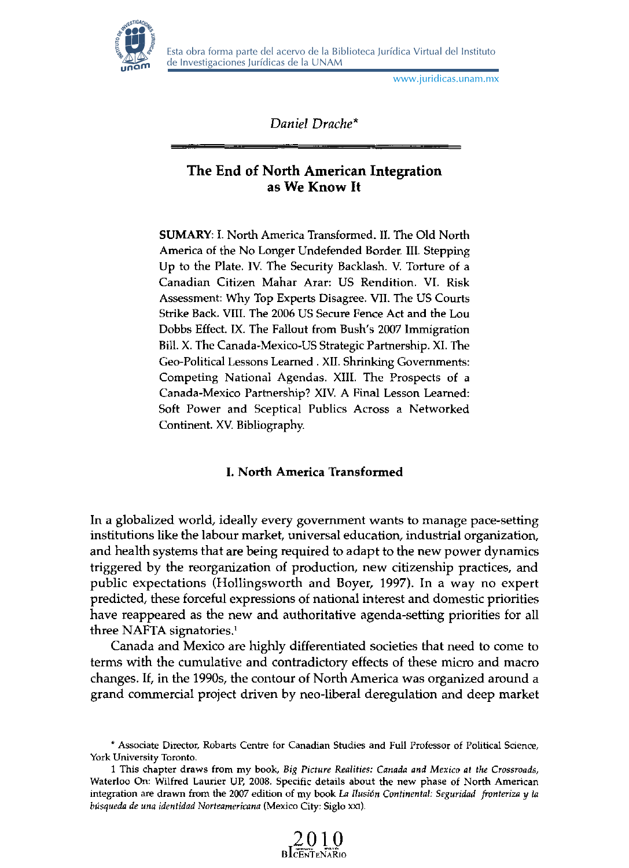

Esta obra forma parte del acervo de la Biblioteca Jurídica Virtual del Instituto de Investigaciones Jurídicas de la UNAM

www.juridicas.unam.mx

Daniel Drache\* **The End of North American Integration** 

# **The End of North American Integration** as We Know It

America 01 Ihe No Longer Undelended Border. III. Stepping  $SUMAN1.1.$  North America Transformed,  $H$ . The Old North America of the No Longer Undefended Border. III. Stepping. Up to the Plate. IV. The Security Backlash. V. Torture of a Canadian Citizen Mahar Arar: US Rendition. VI. Risk Assessment: Why Top Experts Disagree. VII. The US Courts Strike Back. VIII. The 2006 US Secure Fence Act and the Lou. Dobbs Effect. IX. The Fallout from Bush's 2007 Immigration Bill. X. The Canada-Mexico-US Strategic Partnership. XI. The Geo-Political Lessons Learned. XII. Shrinking Governments: Competing National Agendas. XIII. The Prospects of a Canada-Mexico Partnership? XIV. A Final Lesson Learned:<br>Soft Power and Sceptical Publics Across a Networked Continent. XV. Bibliography.

# **I. North America Transformed**

institutions like the labour market, universal education, industrial organization, In a globalized world, ideally every government wants to manage pace-setting institutions like the labour market, universal education, industrial organization, and health systems that are being required to adapt to the new power dynamics triggered by the reorganization of production, new citizenship practices, and public expectations (Hollingsworth and Boyer, 1997). In a way no expert predicted, these forceful expressions of national interest and domestic priorities have reappeared as the new and authoritative agenda-setting priorities for all three NAFTA signatories.<sup>1</sup> three in Ar IA signatories.<br> $\epsilon$ 

canages and mexico are nightly differentiated societies that need to come to terms with the cumulative and contradictory effects of these micro and macro changes. If, in the 1990s, the contour of North America was organized around a grand commercial project driven by neo-liberal deregulation and deep market

 $\frac{2010}{\text{BLENTENARIO}}$ 

<sup>\*</sup> Associate Director, Robarts Centre for Canadian Studies and Full Professor of Political Science, York University Toronto.

**integration are drawn from the 2007 edition of my book La** *Ilusión Continental: Seguridad fronteriza y la Waterloo On: Wilfred Laurier UP, 2008. Specific details about the new phase of North American* integration are drawn from the 2007 edition of my book La Ilusión Continental: Seguridad fronteriza y la búsqueda de una identidad Norteamericana (Mexico City: Siglo XXI).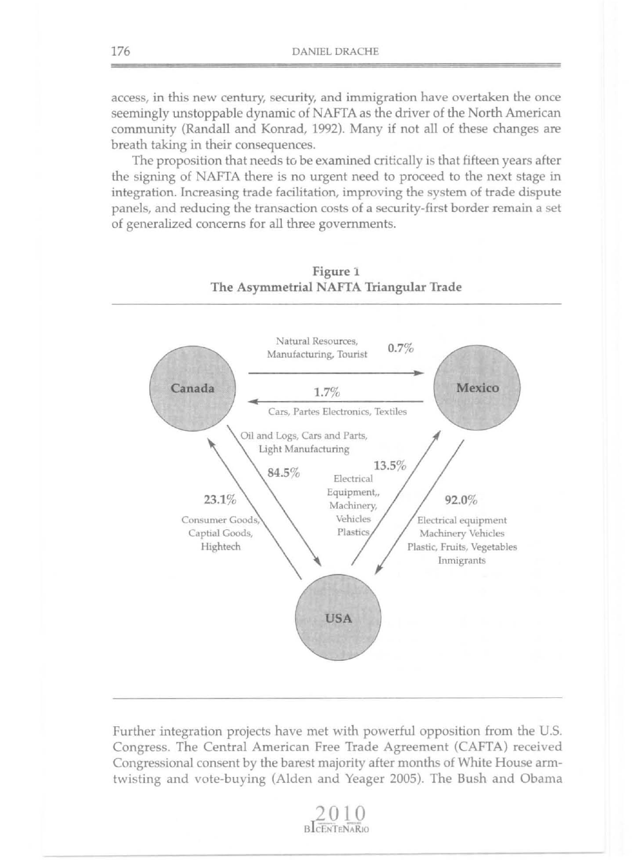access, in this new century, security, and immigration have overtaken the once seemingly unstoppable dynamic of NAFTA as the driver of the North American cornmunity (Randall and Konrad, 1992). Many if not all of these changes are breath taking in their consequences.

The proposition that needs to be examined critically is that fifteen years after the signing of NAFTA there is no urgent need to proceed to the next stage in integration. lncreasing trade facilitation, improving the system of trade dispute panels, and reducing the transaction costs of a security-first border remain a set of generalized concems for all three governments.



# Figure 1 The Asymmetrial NAFTA Triangular Trade

Further integration projects have met with powerful opposition from the U.S. Congress. The Central American Free Trade Agreement (CAFTA) received Congressional consent by the barest majority after months of White House armtwisting and vote-buying (Alden and Yeager 2005). The Bush and Obama

**BLCENTENARIO**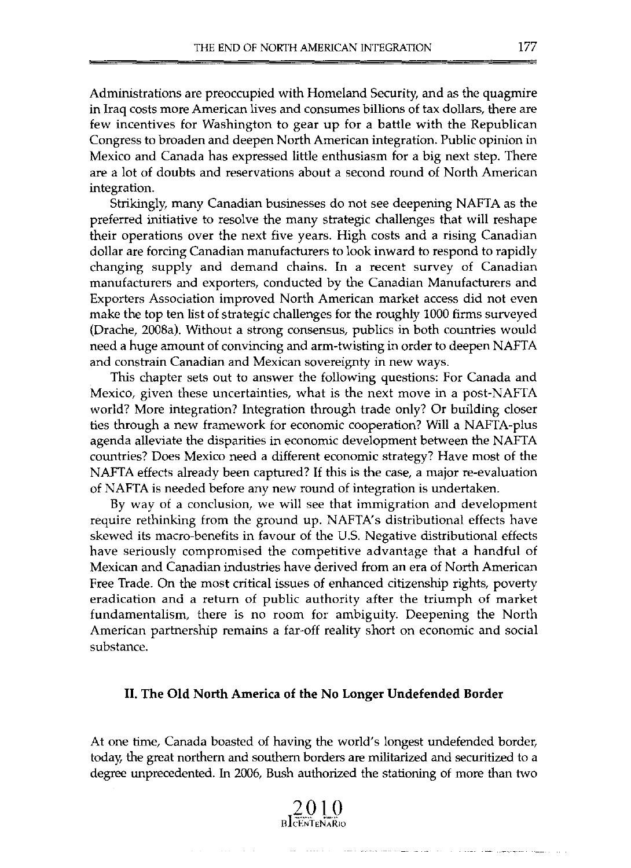Administrations are preoccupied with Homeland Security, and as the quagmire in Iraq costs more American lives and consumes billions of tax dollars, there are few incentives for Washington to gear up for a battle with the Republican Congress to broaden and deepen North American integration. Public opinion in Mexico and Canada has expressed little enthusiasm for a big next step. There are a lot of doubts and reservations about a second round of North American integration.

Strikingly, many Canadian businesses do not see deepening NAFTA as the preferred initiative to resolve the many strategic challenges that will reshape their operations over the next five years. High costs and a rising Canadian dollar are forcing Canadian manufacturers to look inward to respond to rapidly changing supply and demand chains. In a recent survey of Canadian manufacturers and exporters, conducted by the Canadian Manufacturers and Exporters Association improved North American market access did not even make the top ten list of strategic challenges for the roughly 1000 firms surveyed (Drache, 2008a). Without a strong consensus, publics in both countries would need a huge amount of convincing and arm-twisting in order to deepen NAFTA and constrain Canadian and Mexican sovereignty in new ways.

This chapter sets out to answer the following questions: For Canada and Mexico, given these uncertainties, what is the next move in a post-NAFTA world? More integration? Integration through trade only? Or building closer ties through a new framework for economic cooperation? Will a NAFTA-plus agenda alleviate the disparities in economic development between the NAFTA countries? Does Mexico need a different economic strategy? Have most of the NAFTA effects already been captured? If this is the case, a major re-evaluation of N AFTA is needed before any new round of integration is undertaken.

By way of a conclusion, we will see that immigration and development require rethinking from the ground up. NAFTA's distributional effects have skewed its macro-benefits in favour of the U.S. Negative distributional effects have seriously compromised the competitive advantage that a handful of Mexican and Canadian industries have derived from an era of North American Free Trade. On the most critical issues of enhanced citizenship rights, poverty eradication and a return of public authority after the triumph of market fundamentalism, there is no room for ambiguity. Deepening the North American partnership remains a far-off reality short on economic and social substance.

### 11. The Old North America of the No Longer Undefended Border

At one time, Canada boasted of having the world's longest undefended border, today, the great northern and southern borders are militarized and securitized to a degree unprecedented. In 2006, Bush authorized the stationing of more than two



the contract support of the motion and contracts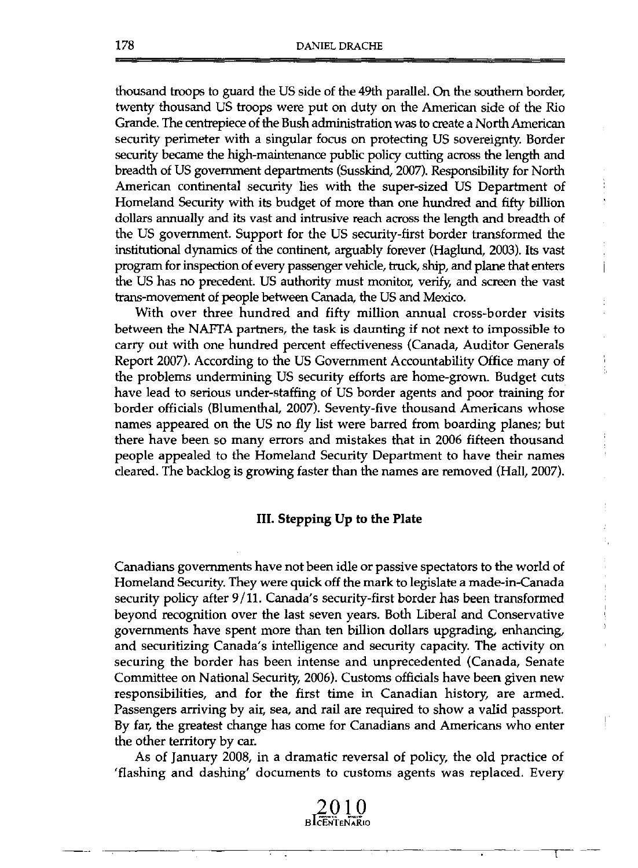thousand troops to guard the US side of the 49th parallel. On the southern border, twenty thousand US troops were put on duty on the American side of the Río Grande. Ihe centrepiece of the Bush adrninistration was to create a North American security perimeter with a singular focus on protecting US sovereignty. Border security became the high-maintenance public policy cutting across the length and breadth of US government departments (Susskind, 2007). Responsibility for North American continental security lies with the super-sized US Departrnent of Homeland Security with its budget of more than one hundred and fifty bíllion dollars annuaIly and its vast and intrusive reach across the length and breadth of the US government. Support for the US security-first border transformed the institutional dynamics of the continent, arguably forever (Haglund, 2003). Its vast program for inspection of every passenger vehicie, truck, ship, and plane that enters the US has no precedent. US authority must monitor, verify, and screen the vast trans-movement of people between Canada, the US and Mexico.

With over three hundred and fifty million annual cross-border visits between the NAFTA partners, the task is daunting if not next to impossible to carry out with one hundred percent effectiveness (Canada, Auditor Generals Report 2007). According to the US Government Accountability Office many of the problems undermining US security efforts are home-grown. Budget cuts have lead to serious under-staffing of US border agents and poor training for border officials (Blumenthal, 2007). Seventy-five thousand Americans whose names appeared on the US no fly list were barred from boarding planes; but there have been so many errors and mistakes that in 2006 fifteen thousand people appealed to the Homeland Security Departrnent to have their names cieared. The backlog is growing faster than the names are removed (Hall, 2007).

### III. **Stepping Up to the Plate**

Canadians governments have not been idle or passive spectators to the world of Homeland Security. Ihey were quick off the mark to legislate a made-in-Canada security policy after 9/11. Canada's security-first border has been transformed beyond recognition over the last seven years. Both Liberal and Conservative governments have spent more than ten billion dollars upgrading, enhancing, and securitizing Canada's intelligence and security capacity. The activity on securing the border has been intense and unprecedented (Canada, Senate Committee on National Security, 2006). Customs officials have been given new responsibilities, and for the first time in Canadian history, are armed. Passengers arriving by air, sea, and raíl are required to show a valid passport. By far, the greatest change has come for Canadians and Americans who enter the other territory by car.

As of January 2008, in a dramatic reversal of policy, the old practice of 'flashing and dashing' documents to customs agents was replaced. Every

**BLCENTENARIO** 

----- -----r- ---

 $\mathbf{i}$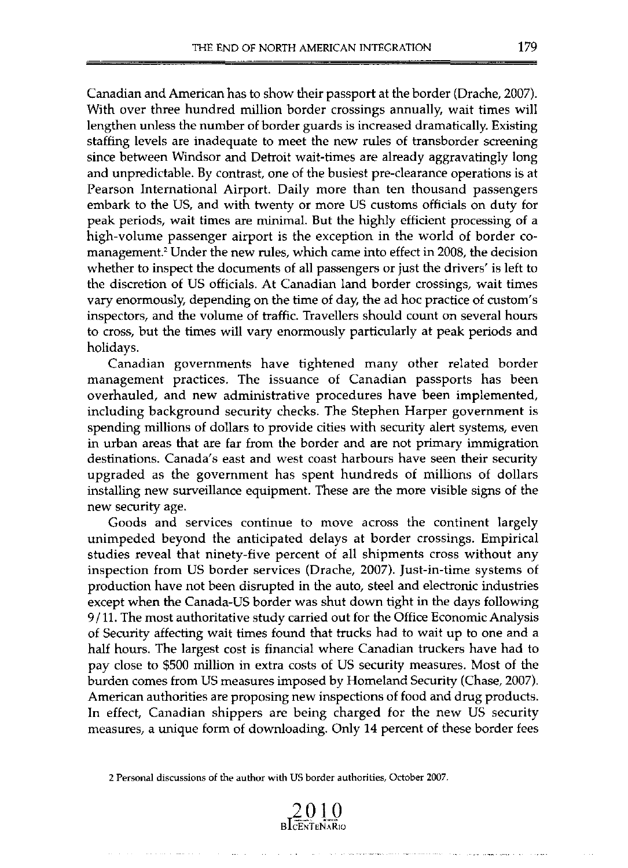Canadian and American has to show their passport at the border (Drache, 2007). With over three hundred million border crossings annually, wait times will lengthen unless the number of border guards is increased dramatically. Existing staffing levels are inadequate to meet the new rules of transborder screening since between Windsor and Detroit wait-times are already aggravatingly long and unpredictable. By contrast, one of the busiest pre-clearance operations is at Pearson International Airport. Daily more than ten thousand passengers embark to the US, and with twenty or more US customs officials on duty for peak periods, wait times are minima!. But the highly efficient processing of a high-volume passenger airport is the exception in the world of border comanagement.' Under the new rules, which carne into effect in 2008, the decision whether to inspect the documents of all passengers or just the drivers' is left to the discretion of US officials. At Canadian land border crossings, wait times vary enormously, depending on the time of day, the ad hoc practice of custom's inspectors, and the volume of traffic. Travellers should count on several hours to cross, but the times will vary enormously particularly at peak periods and holidays.

Canadian governments have tightened many other related border management practices. The issuance of Canadian passports has been overhauled, and new administrative procedures have been implemented, including background security checks. The Stephen Harper government is spending millions of dollars to provide cities with security alert systems, even in urban areas that are far from the border and are not primary immigration destinations. Canada's east and west coast harbours have seen their security upgraded as the government has spent hundreds of millions of dollars instalJing new surveillance equipment. These are the more visible signs of the new security age.

Goods and services continue to move across the continent largely unimpeded beyond the anticipated delays at border crossings. Empirical studies reveal that ninety-five percent of all shipments cross without any inspection from US border services (Drache, 2007). Just-in-time systems of production have not been disrupted in the auto, steel and electronic industries except when the Canada-US border was shut down tight in the days following 9/11. The most authoritative study carried out for the Office Economic Analysis of Security affecting wait times found that trucks had to wait up to one and a half hours. The largest cost is financial where Canadian truckers have had to pay close to \$500 milJion in extra costs of US security measures. Most of the burden comes from US measures imposed by Homeland Security (Chase, 2007). American authorities are proposing new inspections of food and drug products. In effect, Canadian shippers are being charged for the new US security measures, a unique form of downloading. Only 14 percent of these border fees

**2 Personal discussions of the author with US border authorities, Odober 2007.** 

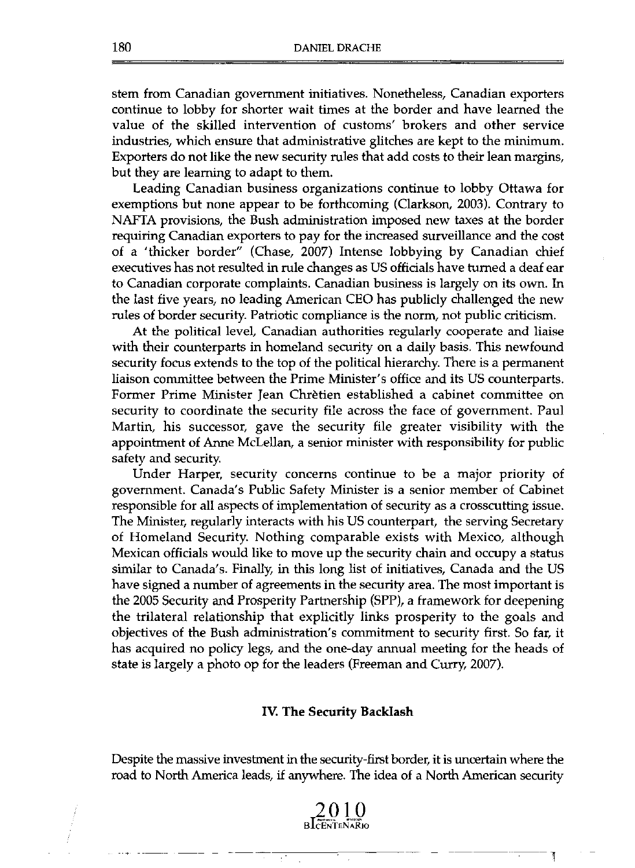stem from Canadian govemment initiatives. Nonetheless, Canadian exporters continue to lobby for shorter wait times at the border and have leamed the value of the skilled intervention of customs' brokers and other service industries, which ensure that administrative glitches are kept to the minimum. Exporters do not like the new security rules that add costs to their lean margins, but they are leaming to adapt to them.

Leading Canadian business organizations continue to lobby Ottawa for exemptions but none appear to be forthcoming (Clarkson, 2003). Contrary to NAFTA provisions, the Bush administration imposed new taxes at the border requiring Canadian exporters to pay for the increased surveillance and the cost of a 'thicker border" (Chase, 2007) Intense lobbying by Canadian chief executives has not resulted in rule changes as US officials have tumed a deaf ear to Canadian corporate complaints. Canadian business is largely on its own. In the last five years, no leading American CEO has publicly challenged the new rules of border security. Patriotic compliance is the norm, not public criticism.

At the political leveJ, Canadian authorities regularly cooperate and liaise with their counterparts in homeland security on a daily basis. This newfound security focus extends to the top of the political hierarchy. There is a permanent liaison committee between the Prime Minister' s office and its US counterparts. Former Prime Minister Jean Chretien established a cabinet committee on security to coordinate the security file across the face of government. Paul Martin, his successor, gave the security file greater visibility with the appointrnent of Anne McLellan, a senior minister with responsibility for public safety and security.

Under Harper, security concerns continue to be a major priority of government. Canada's Public Safety Minister is a senior member of Cabinet responsible for all aspects of implementation of security as a crosscutting issue. The Minister, regularly interacts with his US counterpart, the serving Secretary of Homeland Security. Nothing comparable exists with Mexico, although Mexican officials would like to move up the security chain and occupy a status similar to Canada's. Finally, in this long list of initiatives, Canada and the US have signed a number of agreements in the security area. The most important is the 2005 Security and Prosperity Partnership (SPP), a framework for deepening the trilateral relationship that explicitly links prosperity to the goals and objectives of the Bush administration's commitment to security first. So far, it has acquired no policy legs, and the one-day annual meeting for the heads of state is largely a photo op for the leaders (Freeman and Curry, 2007).

### IV. The Security Backlash

Despite the massive investrnent in the security-first border, it is uncertain where the road to North America leads, if anywhere. The idea of a North American security



Ţ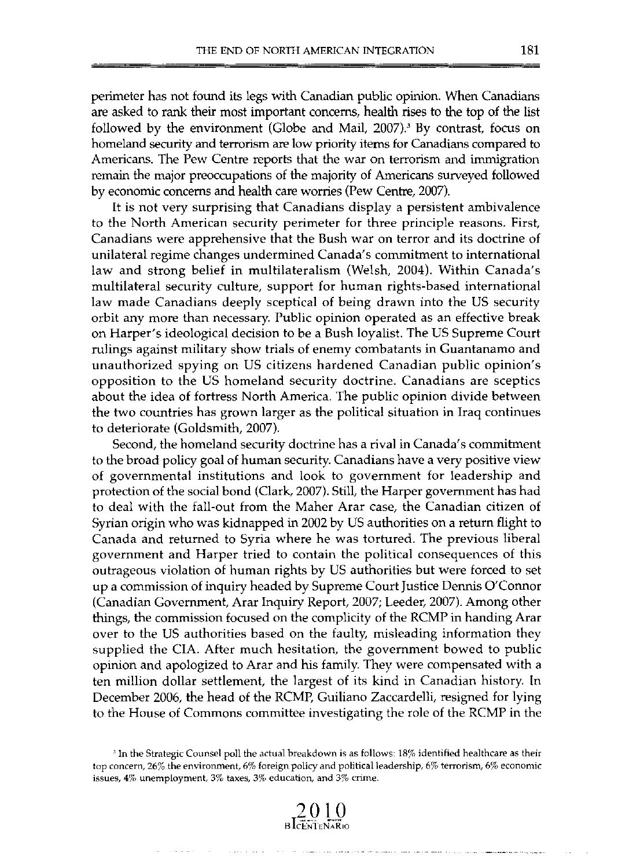perimeter has not found its legs wilh Canadian public opinion. When Canadians are asked to rank their most important concerns, health rises to the top of the list followed by the environment (Globe and Mail, 2007).<sup>3</sup> By contrast, focus on homeland security and terrorism are low priority items for Canadians compared to Americans. The Pew Centre reports that the war on terrorism and immigration remain the major preoccupations of the majority of Americans surveyed followed by econornic concerns and heallh care worries (Pew Centre, 2007).

It is not very surprising that Canadians display a persistent ambivalence to the North American security perimeter for three principle reasons. First, Canadians were apprehensive that the Bush war on terror and its doctrine of unilateral regime changes undermined Canada's commitment to international law and strong belief in multilateralism (Welsh, 2004). Within Canada's multilateral security culture, support for human rights-based international law made Canadians deeply sceplical of being drawn into the US security orbit any more than necessary. Public opinion operated as an effective break on Harper's ideological decision to be a Bush loyalist. The US Supreme Court rulings against military show trials of enemy combatants in Guantanamo and unauthorized spying on US citizens hardened Canadian public opinion's opposition to the US homeland security doctrine. Canadians are sceptics about the idea of fortress North America. The public opinion divide between the two countries has grown larger as the political situation in Iraq continues to deteriorate (Goldsmith, 2007).

Second, the homeland security doctrine has a rival in Canada's commitment to the broad policy goal of human security. Canadians have a very positive view of governmental institutions and look to government for leadership and protection of the social bond (Clark, 2007). Still, the Harper government has had to deal with the fall-out from the Maher Arar case, the Canadian citizen of Syrian origin who was kidnapped in 2002 by US aulhorities on a return flight to Canada and returned to Syria where he was tortured. The previous liberal government and Harper tried to contain the political consequences of this outrageous violation of human rights by US authorities but were forced to set up a commission of inquiry headed by Supreme Court Justice Dennis O'Connor (Canadian Government, Arar Inquiry Report, 2007; Leeder, 2007). Among other things, the commission focused on the complicity of the RCMP in handing Arar over to the US authorities based on the faulty, misleading information they supplied the CIA. After much hesitation, the government bowed to public opinion and apologized to Arar and his family. They were compensated with a ten million dollar settlement, the largest of its kind in Canadian history. In December 2006, the head of the RCMP, Guiliano Zaccardelli, resigned for lying to the House of Commons committee investigating the role of the RCMP in the



<sup>&</sup>lt;sup>3</sup> In the Strategic Counsel poll the actual breakdown is as follows: 18% identified healthcare as their top concern, 26% the environment, 6% foreign policy and political leadership, 6% terrorism, 6% economic issues,  $4\%$  unemployment,  $3\%$  taxes,  $3\%$  education, and  $3\%$  crime.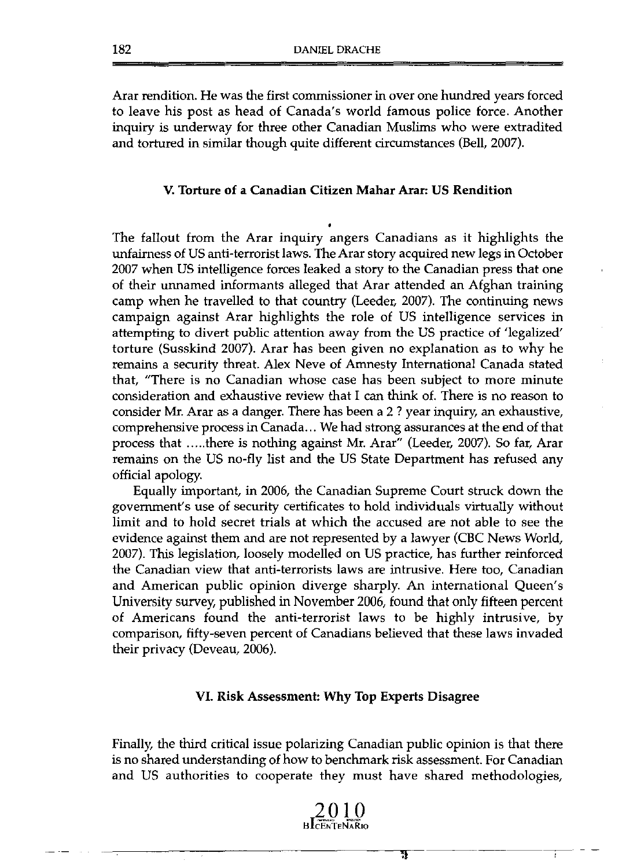Arar rendition. He was the first commissioner in over one hundred years forced to leave his post as head of Canada's world famous police force. Another inquiry is underway for three other Canadian Muslims who were extradited and tortured in similar though quite different circumstances (Bell, 2007).

### V. Torture of a Canadian Citizen Mahar Arar: US Rendition

The fallout from the Arar inquiry angers Canadians as it highlights the unfairness of US anti-terrorist laws. The Arar story acquired new legs in October 2007 when US intelligence forces leaked a story to the Canadian press that one of their unnamed informants alleged that Arar attended an Afghan training camp when he travelled to that country (Leeder, 2007). The continuing news campaign against Arar highlights the role of US intelligence services in attempting to divert public attention away from the US practice of 'legalized' torture (Susskind 2007). Arar has been given no explanation as to why he remains a security threat. Alex Neve of Amnesty Intemational Canada stated that, "There is no Canadian whose case has been subject to more minute consideration and exhaustive review that 1 can think of. There is no reason to consider Mr. Arar as a danger. There has been a 2 ? year inquiry, an exhaustive, comprehensive process in Canada ... We had strong assurances at the end of that process that ..... there is nothing against Mr. Arar" (Leeder, 2007). So far, Arar remains on the US no-fly list and the US State Department has refused any official apology.

Equally important, in 2006, the Canadian Supreme Court struck down the government's use of security certificates to hold individuals virtually without limit and to hold secret trials at which the accused are not able to see the evidence against them and are not represented by a lawyer (CBC News World, 2007). This legislation, loosely modelled on US practice, has further reinforced the Canadian view that anti-terrorists laws are intrusive. Here too, Canadian and American public opinion diverge sharply. An international Queen' s University survey, published in November 2006, found that only fifteen percent of Americans found the anti-terrorist laws to be highly intrusive, by comparison, fifty-seven percent of Canadians believed that these laws invaded their privacy (Deveau, 2006).

### VI. Risk Assessment: Why Top Experts Disagree

Finally, the third critical issue polarizing Canadian public opinion is that there is no shared understanding of how to benchmark risk assessment. For Canadian and US authorities to cooperate they must have shared methodologies,

π

÷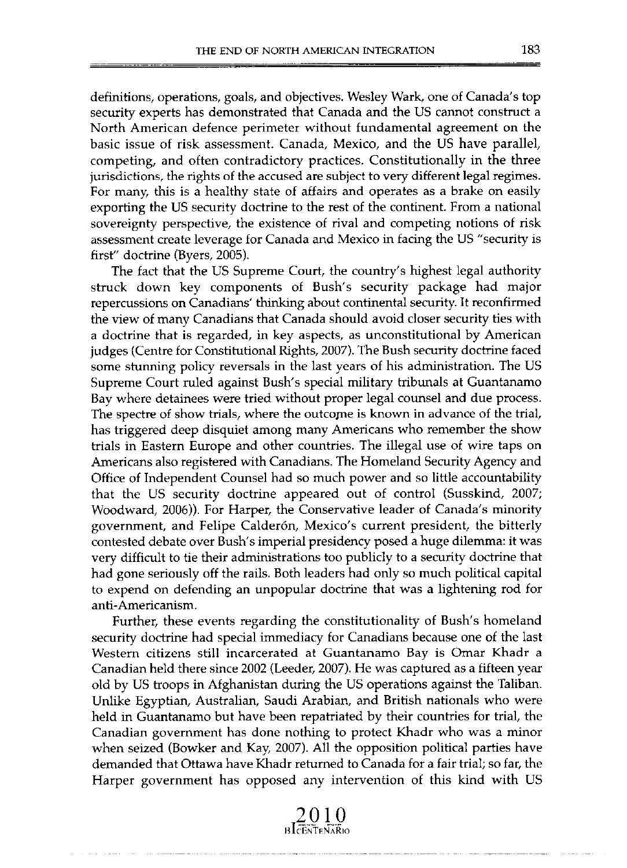definitions, operations, goals, and objectives. Wesley Wark, one of Canada's top security experts has demonstrated that Canada and the US cannot construct a North American defence perimeter without fundamental agreement on the basic issue of risk assessment. Canada, Mexico, and the US have parallel, competing, and often contradictory practices. Constitutionally in the three jurisdictions, the rights of the accused are subject to very different legal regimes. For many, this is a healthy state of affairs and operates as a brake on easily exporting the US security doctrine to the rest of the continent. From a national sovereignty perspective, the existence of rival and competing notions of risk assessment create leverage for Canada and Mexico in facing the US "security is first" doctrine (Byers, 2005).

The fact that the US Supreme Court, the country's highest legal authority struck down key components of Bush's security package had major repercussions on Canadians' thinking about continental security. It reconfirmed the view of many Canadians that Canada should avoid closer security ties with a doctrine that is regarded, in key aspects, as unconstitutional by American judges (Centre for Constitutional Rights, 2007). The Bush security doctrine faced sorne stunning policy reversals in the last years of his administration. The US Supreme Court ruled against Bush's special military tribunals at Guantanamo Bay where detainees were tried without proper legal counsel and due process. The spectre of show trials, where the outcome is known in advance of the trial, has triggered deep disquiet among many Americans who remember the show trials in Eastern Europe and other countries. The illegal use of wire taps on Americans also registered with Canadians. The Homeland Security Agency and Office of Independent Counsel had so much power and so little accountability that the US security doctrine appeared out of control (Susskind, 2007; Woodward, 2006)). For Harper, the Conservative leader of Canada's minority government, and Felipe Calderón, Mexico's current president, the bitterly contested debate over Bush's imperial presidency posed a huge dilemma: it was very difficult to tie their administrations too publicly to a security doctrine that had gone seriously off the rails. Both leaders had only so much political capital to expend on defending an unpopular doctrine that was a lightening rod for **anti-Americanisrn.** 

Further, these events regarding the constitutionality of Bush's homeland security doctrine had special immediacy for Canadians because one of the last Western citizens still incarcerated at Guantanamo Bay is Omar Khadr a Canadian held there since 2002 (Leeder, 2007). He was captured as a fifteen year old by US troops in Afghanistan during the US operations against the Taliban. Unlike Egyptian, Australian, Saudi Arabian, and British nationals who were held in Guantanamo but have been repatriated by their countries for trial, the Canadian government has done nothing to protect Khadr who was a minor when seized (Bowker and Kay, 2007). All the opposition political parties have demanded that Ottawa have Khadr returned to Canada for a fair trial; so far, the Harper government has opposed any intervention of this kind with US

> **2010 HIc7EN'l'EN'A'RlO**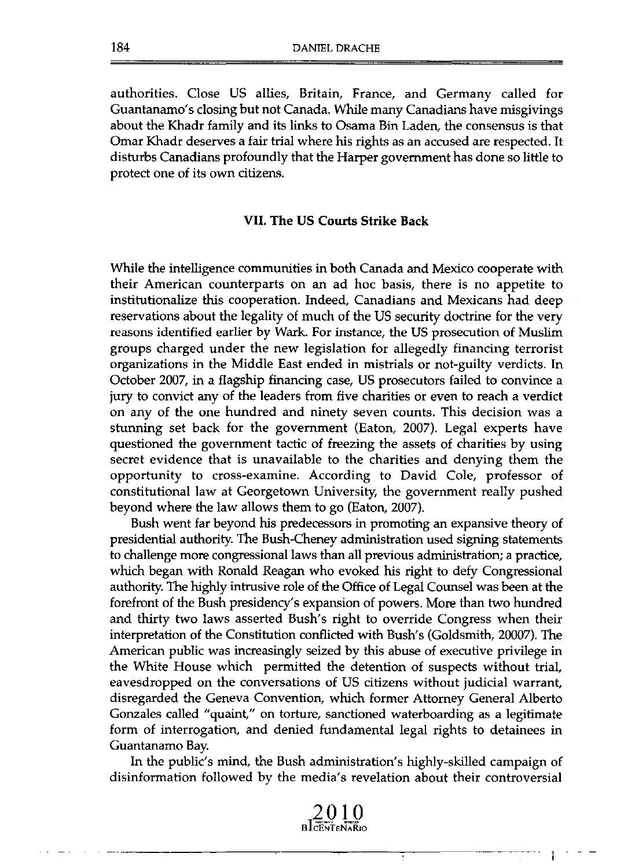authorities. Close US allies, Britain, France, and Germany called for Guantanamo's closing but not Canada. While many Canadians have misgivings about the Khadr family and its links to Osama Bin Laden, the consensus is that Omar Khadr deserves a fair trial where his rights as an accused are respected. It disturbs Canadians profoundly that the Harper government has done so little to protect one of its own citizens.

### VII. The US Courts Strike Back

While the intelligence communities in both Canada and Mexico cooperate with their American counterparts on an ad hoc basis, there is no appetite to institutionalize this cooperation. Indeed, Canadians and Mexicans had deep reservations about the legality of much of the US security doctrine for the very reasons identified earlier by Wark. For instance, the US prosecution of Muslim groups charged under the new legislation for allegedly financing terrorist organizations in the Middle East ended in mistrials or not-guilty verdicts. In October 2007, in a flagship financing case, US prosecutors failed to convince a jury to convict any of the leaders from five charities or even to reach a verdict on any of the one hundred and ninety seven counts. This decision was a stunning set back for the government (Eaton, 2007). Legal experts have questioned the government tactic of freezing the assets of charities by using secret evidence that is unavailable to the charities and denying them the opportunity to cross-examine. According to David Cole, professor of constitutional law at Georgetown University, the government really pushed beyond where the law allows them to go (Eaton, 2007).

Bush went far beyond his predecessors in promoting an expansive theory of presidential authority. The Bush-Cheney administration used signing statements to chal!enge more congressionallaws than al! previous administration; a practice, which began with Ronald Reagan who evoked his right to defy Congressional authority. The highIy intrusive role of the Office of Legal Counsel was been at the forefront of the Bush presidency's expansion of powers. More than two hundred and thirty two laws asserted Bush's right to override Congress when their interpretation of the Constitution conflicted with Bush's (Goldsmith, 20007). The American public was increasingly seized by this abuse of executive privilege in the White House which permitted the detention of suspects without trial, eavesdropped on the conversations of US citizens without judicial warrant, disregarded the Geneva Convention, which former Attorney General Alberto Gonzales called "quaint," on torture, sanctioned waterboarding as a legitimate form of interrogation, and denied fundamental legal rights to detainees in Guantanamo Bay.

In the public's mind, the Bush administration's highly-skilled campaign of disinformation followed by the media's revelation about their controversial

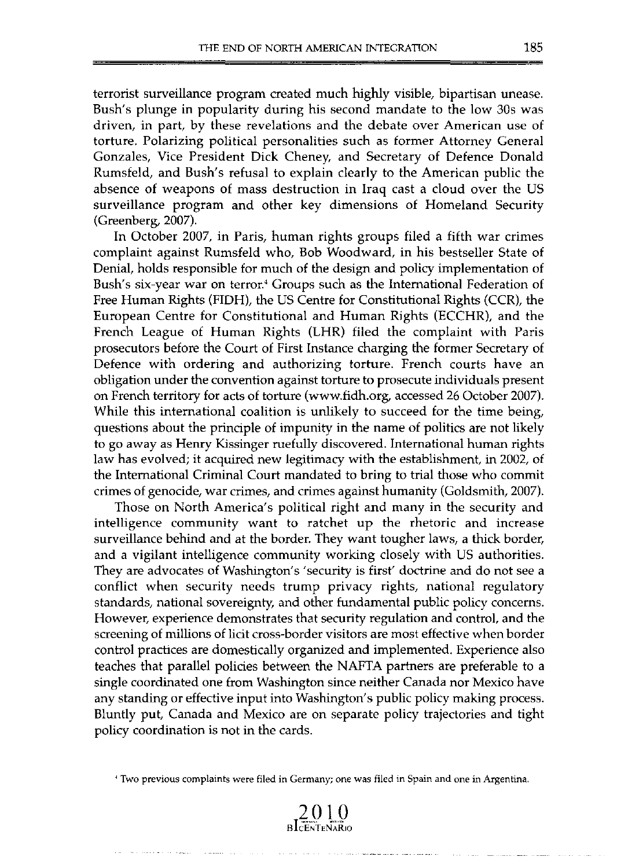terroríst surveillance program created much highly visible, bipartisan unease. Bush's plunge in popularity during his second mandate to the low 305 was driven, in part, by these revelations and the debate over American use of torture. Polarizing political personalities such as former Attorney General Gonzales, Vice President Dick Cheney, and Secretary of Defence Donald Rumsfeld, and Bush's refusal to explain clearly to the American public the absence of weapons of mass destruction in Iraq cast a cloud over the US surveillance program and other key dimensions of Homeland Security (Greenberg, 2007).

In October 2007, in Paris, human rights groups filed a fifth war crimes complaint against Rumsfeld who, Bob Woodward, in his bestseller State of Denial, holds responsible for much of the design and policy implementation of Bush's six-year war on terror.' Groups such as the International Federation of Free Human Rights (FIDH), the US Centre for Constitutional Rights (CCR), the European Centre for Constitutional and Human Rights (ECCHR), and the French League of Human Rights (LHR) filed the complaint with Paris prosecutors before the Court of First Instance charging the former Secretary of Defence with ordering and authorizing torture. French courts have an obligation under the convention against torture to prosecute individuals present on French terrítory for acts of torture (www.fidh.org, accessed 26 October 2007). While this international coalition is unlikely to succeed for the time being, questions about the principie of impunity in the name of politics are not likely to go away as Henry Kissinger ruefully discovered. International human rights law has evolved; it acquired new legitimacy with the establishment, in 2002, of the International Criminal Court mandated to bring to trial those who commit crimes of genocide, war crimes, and crimes against humanity (Goldsmith, 2007).

Those on North America's political right and many in the security and intelligence community want to ratchet up the rhetoric and increase surveillance behind and at the border. They want tougher laws, a thick border, and a vigilant intelligence community working closely with US authorities. They are advocates of Washington's 'security is first' doctrine and do not see a conflict when security needs trump privacy rights, national regulatory standards, national sovereignty, and other fundamental public policy concerns. However, experience demonstrates that security regulation and control, and the screening of millions of licit cross-border visitors are most effective when border control practices are domestically organized and implemented. Experience also teaches that parallel policies between the NAFTA partners are preferable to a single coordinated one from Washington since neither Canada nor Mexico have any standing or effective input into Washington's public policy making process. Bluntly put, Canada and Mexico are on separate policy trajectories and tight policy coordination is not in the cards .

**• Two previous complaints were filed in Germany; ane was filed in Spain and ane in Argentina.** 

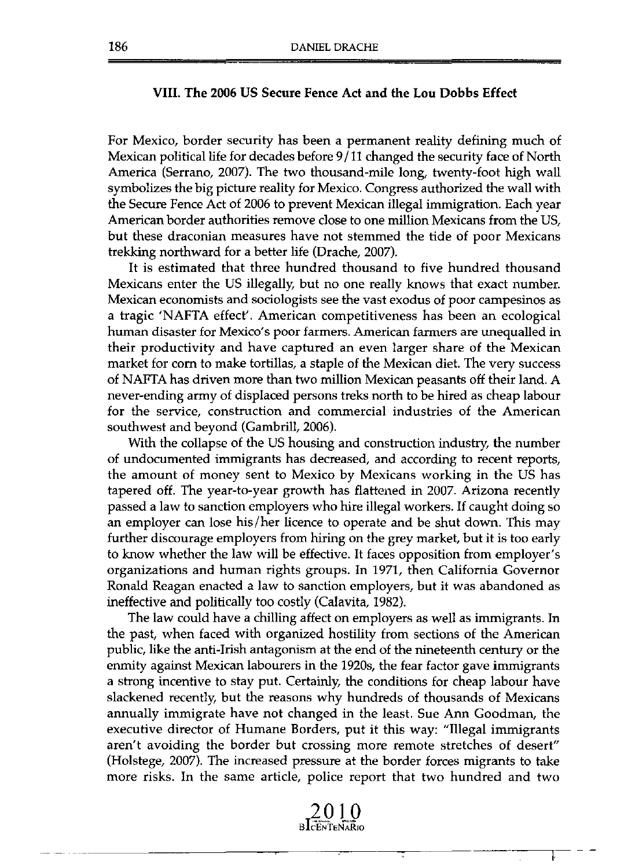### VIII. The 2006 US Secure Fence Act and the Lou Dobbs Effect

For Mexico, border security has been a permanent reality defining much of Mexican political life for decades before 9/11 changed the security face of North America (Serrano, 2007). The two thousand-mile long, twenty-foot high wall symbolizes the big picture reality for Mexico. Congress authorized the wall with the Secure Fence Act of 2006 to prevent Mexican illegal immigration. Each year American border authorities remove close to one million Mexicans from the US, but these draconian measures have not stemmed the tide of poor Mexicans trekking northward for a better life (Drache, 2007).

It is estimated that three hundred thousand to five hundred thousand Mexicans enter the US illegally, but no one really knows that exact number. Mexican economists and sociologists see the vast exodus of poor campesinos as a tragic 'NAFTA effect'. American competitiveness has been an ecological human disaster for Mexico's poor farmers. American farmers are unequalled in their productivity and have captured an even larger share of the Mexican market for corn to make tortillas, a staple of the Mexican diet. The very success of NAFTA has driven more than two million Mexican peasants off their land. A never-ending army of displaced persons treks north to be hired as cheap labour for the service, construction and commercial industries of the American southwest and beyond (Gambrill, 2006).

With the collapse of the US housing and construction industry, the number of undocumented immigrants has decreased, and according to recent reports, the amount of money sent to Mexico by Mexicans working in the US has tapered off. The year-to-year growth has flattened in 2007. Arizona recently passed a law to sanction employers who hire illegal workers. If caught doing so an employer can lose his/her licence to operate and be shut down. This may further discourage employers from hiring on the grey market, but it is too early to know whether the law will be effective. It faces opposition from employer's organizations and human rights graups. In 1971, then California Governor Ronald Reagan enacted a law to sanction employers, but it was abandoned as ineffective and politically too costly (Calavita, 1982).

The law could have a chilling affect on employers as well as immigrants. In the past, when faced with organized hostility from sections of the American public, like the anti-Irish antagonism at the end of the nineteenth century or the enmity against Mexican labourers in the 1920s, the fear factor gave immigrants a strong incentive to stay put. Certainly, the conditions for cheap labour have slackened recently, but the reasons why hundreds of thousands of Mexicans annually immigrate have not changed in the least. Sue Ann Goodman, the executive director of Humane Borders, put it this way: "Illegal immigrants aren't avoiding the border but crossing more remote stretches of desert" (Holstege, 2007). The increased pressure at the border forces migrants to take more risks. In the same article, police report that two hundred and two

**BLCENTENARIO** 

ŀ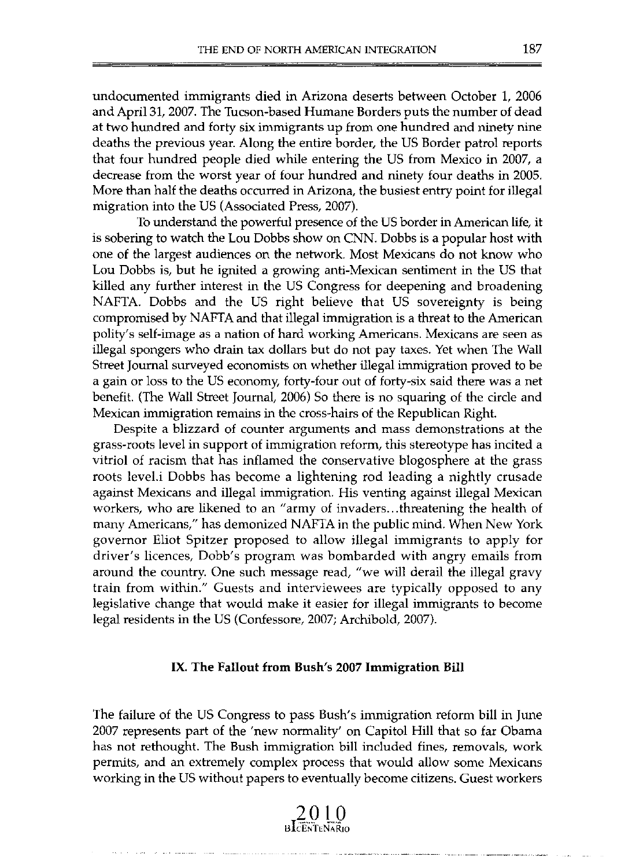undocumented immigrants died in Arizona deserts between October 1, 2006 and April31, 2007. The Tucson-based Humane Borders puts the number of dead at two hundred and forty six immigrants up from one hundred and ninety nine deaths the previous year. Along the entire border, the US Border patrol reports that four hundred people died while entering the US from Mexico in 2007, a decrease from the worst year of four hundred and ninety four deaths in 2005. More than half the deaths occurred in Arizona, the busiest entry point for illegal migration into the US (Associated Press, 2007).

To understand the powerful presence of the US border in American life, it is sobering to watch the Lou Dobbs show on CNN. Dobbs is a popular host with one of Ihe largest audiences on Ihe network. Most Mexicans do not know who Lou Dobbs is, but he ignited a growing anti-Mexican sentiment in the US that killed any further interest in the US Congress for deepening and broadening NAFTA. Dobbs and the US right believe that US sovereignty is being compromised by NAFTA and that illegal immigration is a threat to the American polity's self-image as a nation of hard working Americans. Mexicans are seen as illegal spongers who drain tax dollars but do not pay taxes. Yet when The Wall Street Journal surveyed economists on whether illegal immigration proved to be a gain or loss to Ihe US economy, forty-four out of forty-six said Ihere was a net benefit. (The Wall Street Journal, 2006) So there is no squaring of the circle and Mexican immigration remains in the cross-hairs of the Republican Right.

Despite a blizzard of counter arguments and mass demonstrations at the grass-roots level in support of immigration reform, this stereotype has incited a vitriol of racism that has inflamed the conservative blogosphere at the grass roots level.i Dobbs has become a lightening rod leading a nightly crusade against Mexicans and illegal immigration. His venting against illegal Mexican workers, who are likened to an "army of invaders ... threatening the health of many Americans," has demonized NAFTA in the public mind. When New York governor Eliot Spitzer proposed to allow illegal immigrants to apply for driver's licences, Dobb's program was bombarded with angry emails from around the country. One such message read, "we will derail the illegal gravy train from within." Guests and interviewees are typically opposed to any legislative change that would make it easier for illegal immigrants to become legal residents in the US (Confessore, 2007; Archibold, 2007).

### IX. The Fallout from Bush's 2007 Immigration Bill

The failure of the US Congress to pass Bush's immigration reform bill in June 2007 represents part of Ihe 'new normality' on Capitol Hill Ihat so far Obama has not rethought. The Bush immigration bill included fines, removals, work permits, and an extremely complex process that would allow some Mexicans working in the US without papers to eventually become citizens. Guest workers

2010 **BICENTENARIO**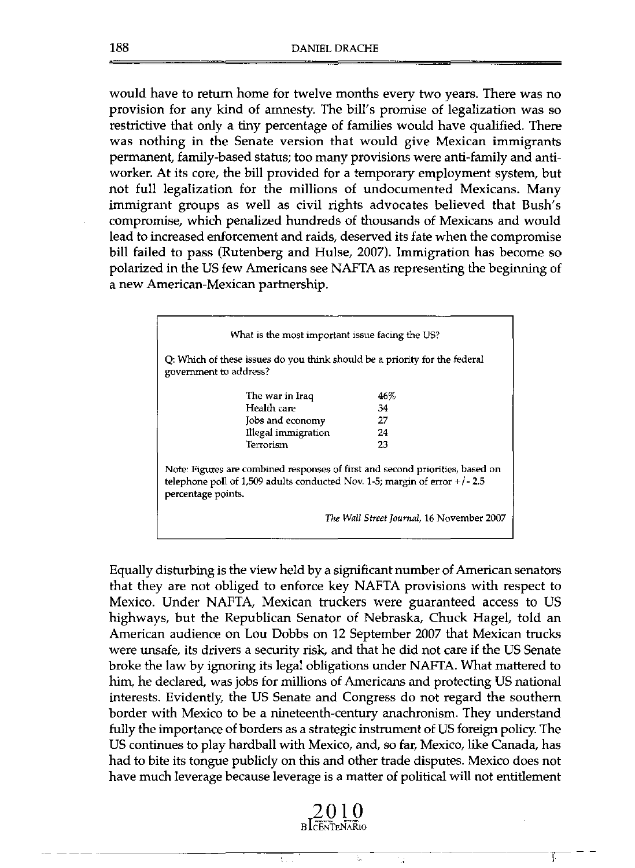would have to return home for twelve months every two years. There was no provision for any kind of amnesty. The bill's promise of legalization was so restrictive that only a tiny percentage of families would have qualified. There was nothing in the Senate version that would give Mexican immigrants permanent, family-based status; too many provisions were anti-family and antiworker. At its core, the bill provided for a temporary employment system, but not full legalization for the millions of undocumented Mexicans. Many immigrant groups as well as civil rights advocates believed that Bush's compromise, which penalized hundreds of thousands of Mexicans and would lead to increased enforcement and raids, deserved its fate when the compromise bill failed to pass (Rutenberg and Hulse, 2007). Immigration has become so polarized in the US few Americans see NAFTA as representing the beginning of a new American-Mexican partnership.

| What is the most important issue facing the US?                                                                                                                                     |                     |                                           |
|-------------------------------------------------------------------------------------------------------------------------------------------------------------------------------------|---------------------|-------------------------------------------|
| Q: Which of these issues do you think should be a priority for the federal<br>government to address?                                                                                |                     |                                           |
|                                                                                                                                                                                     | The war in Iraq     | 46%                                       |
| Health care                                                                                                                                                                         |                     | 34                                        |
|                                                                                                                                                                                     | Jobs and economy    | 27                                        |
|                                                                                                                                                                                     | Illegal immigration | 24                                        |
| Terrorism                                                                                                                                                                           |                     | 23                                        |
| Note: Figures are combined responses of first and second priorities, based on<br>telephone poll of 1,509 adults conducted Nov. 1-5; margin of error $+/- 2.5$<br>percentage points. |                     |                                           |
|                                                                                                                                                                                     |                     | The Wall Street Journal, 16 November 2007 |

Equally disturbing is the view held by a significant number of American senators that they are not obliged to enforce key NAFTA provisions with respect to Mexico. Under NAFTA, Mexican truckers were guaranteed access to US highways, but the Republican Senator of Nebraska, Chuck Hagel, told an American audience on Lou Dobbs on 12 September 2007 that Mexican trucks were unsafe, its drivers a security risk, and that he did not care if the US Senate broke the law by ignoring its legal obligations under NAFTA. What mattered to him, he dec1ared, was jobs for millions of Americans and protecting US national interests. Evidently, the US Senate and Congress do not regard the southern border with Mexico to be a nineteenth-century anachronism. They understand fully the importance of borders as a strategic instrument of US foreign policy. The US continues to play hardball with Mexico, and, so far, Mexico, like Canada, has had to bite its tongue publicly on this and other trade disputes. Mexico does not have much leverage because leverage is a matter of political will not entitlement

**BlCE'NTEN'A'Rlo** 



----------------------------~-----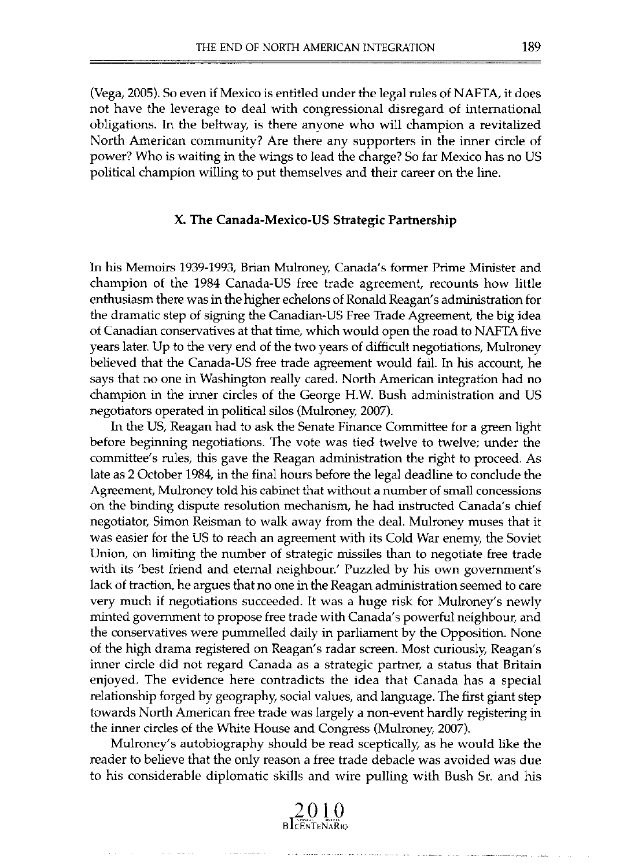(Vega, 2005). So even if Mexico is entitled under the legal rules of NAFTA, it does not have the leverage to deal with congressional disregard of international obligations. In the beltway, is there anyone who will champion a revitalized North American community? Are there any supporters in the inner cirele of power? Who is waiting in the wings to lead the charge? So far Mexico has no US political champion willing to put themselves and their career on the line.

# X. The Canada-Mexico-US Strategic Partnership

In his Memoirs 1939-1993, Brian Mulroney, Canada's former Prime Minister and champion of the 1984 Canada-US free trade agreement, recounts how little enthusiasm there was in the higher echelons of Ronald Reagan's administration for the dramatic step of signing the Canadian-US Free Trade Agreement, the big idea of Canadian conservatives at that time, which would open the road to NAFTA five years later. Up to the very end of the two years of difficult negotiations, Mulroney believed that the Canada-US free trade agreement would fail. In his account, he says that no one in Washington really cared. North American integration had no champion in the inner cireles of the George H.W. Bush administration and US negotiators operated in political silos (Mulroney. 2007).

In the US, Reagan had to ask the Senate Finance Committee for a green light before beginning negotiations. The vote was tied twelve to twelve; under the committee's rules, this gave the Reagan administration the right to proceed. As late as 2 October 1984, in the final hours before the legal deadline to conclude the Agreement, Mulroney told his cabinet that without a number of smal! concessions on the binding dispute resolution mechanism, he had instructed Canada's chief negotiator, Simon Reisman to walk away from the deal. Mulroney muses that it was easier for the US to reach an agreement with its Cold War enemy, the Soviet Union, on limiting the number of strategic missiles than to negotiate free trade with its 'best friend and eternal neighbour.' Puzzled by his own government's lack of traction, he argues that no one in the Reagan administration seemed to care very much if negotiations succeeded. lt was a huge risk for Mulroney's newly minted government to propose free trade with Canada's powerful neighbour, and the conservatives were pununelled daily in parliament by the Opposition. None of the high drama registered on Reagan's radar screen. Most curiously, Reagan's inner cirde did not regard Canada as a strategic partner, a status that Britain enjoyed. The evidence here contradicts the idea that Canada has a special relationship forged by geography, social values, and language. The first giant step towards North American free trade was largely a non-event hardly registering in the inner cirdes of the White House and Congress (Mulroney, 2007).

Mulroney's autobiography should be read sceptically, as he would like the reader to believe that the only reason a free trade debacle was avoided was due to his considerable diplomatic skills and wire pulling with Bush Sr. and his

 $2010$  B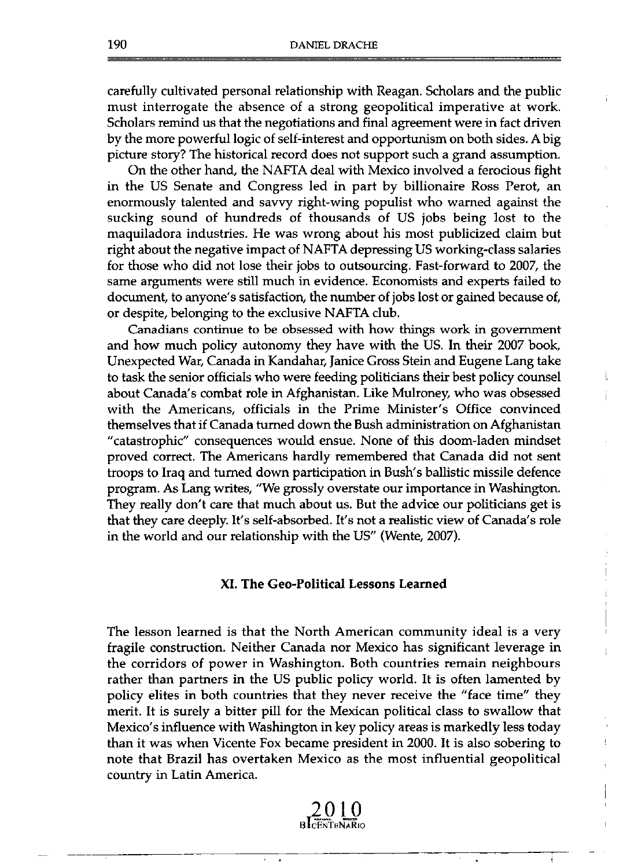carefully cultivated personal relationship with Reagan. Scholars and the public must interrogate the absence of a strong geopolitical imperative at work. Scholars remind us that the negotiations and final agreement were in fact driven by the more powerful logic of self-interest and opportunism on both sides. A big picture story? The historical record does not support such a grand assumption.

On the other hand, the NAFTA deal with Mexico involved a ferocious fight in the US Senate and Congress led in part by billionaire Ross Perot, an enormously talented and savvy right-wing populist who warned against the sucking sound of hundreds of thousands of US jobs being lost to the maquilad ora industries. He was wrong about his most publicized claim but right about the negative impact of NAFTA depressing US working-class salaries for those who did not lose their jobs to outsourcing. Fast-forward to 2007, the same arguments were still much in evidence. Economists and experts failed to document, to anyone's satisfaction, the number of jobs lost or gained because of, or despite, belonging to the exclusive NAFTA club.

Canadians continue to be obsessed with how things work in government and how much policy autonomy they have with the US. In their 2007 book, Unexpected War, Canada in Kandahar, Janice Gross Stein and Eugene Lang take to task the senior officials who were feeding politicians their best policy counsel about Canada's combat role in Afghanistan. Like Mulroney, who was obsessed with the Americans, officials in the Prime Minister's Office convinced themselves that if Canada turned down the Bush administration on Afghanistan "catastrophic" consequences would ensue. None of this doom-Iaden mindset proved correct. The Americans hardly remembered that Canada did not sent troops to Iraq and turned down participation in Bush's ballistic missile defence program. As Lang writes, "We grossly overstate our importance in Washington. They really don't care that much about us. But the advice our politicians get is that they care deeply. It's self-absorbed. It's not a realistic view of Canada's role in the world and our relationship with the US" (Wente, 2007).

### XI. **The** Geo-Political Lessons Learned

The lesson learned is that the North American community ideal is a very fragile construction. Neither Canada nor Mexico has significant leverage in the corridors of power in Washington. Both countries remain neighbours rather than partners in the US public policy world. It is often lamented by policy elites in both countries that they never receive the "face time" they merit. It is surely a bitter pill for the Mexican political class to swallow that Mexico's influence with Washington in key policy areas is markedly less today than it was when Vicente Fox became president in 2000. It is also sobering to note that Brazil has overtaken Mexico as the most influential geopolitical country in Latin America.

BLCENTRNARIO

 $\overline{\phantom{a}}$  $\cdot$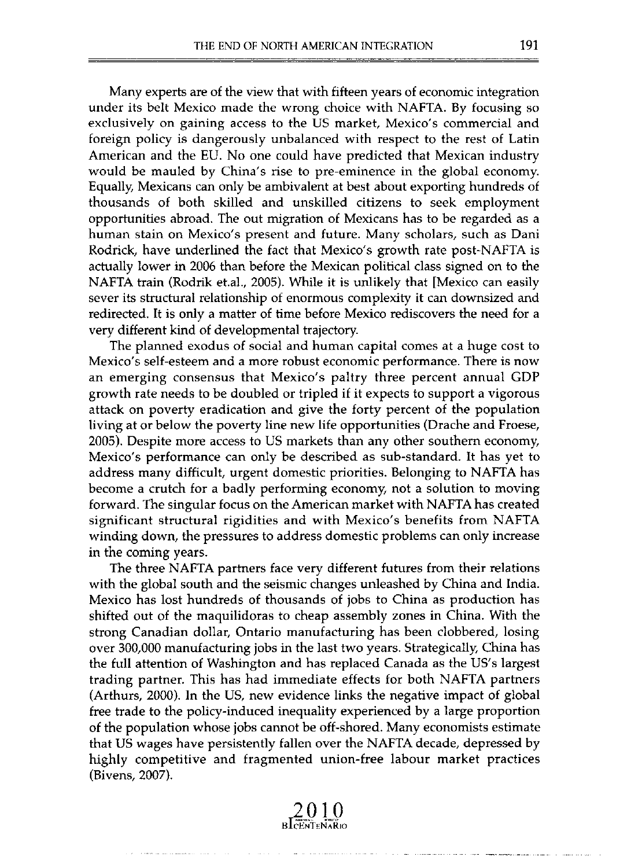Many experts are of the view that wilh fifteen years of economic integration under its belt Mexico made the wrong choice with NAFTA. By focusing so exclusively on gaining access to the US market, Mexico's commercial and foreign policy is dangerously unbalanced wilh respect to the rest of Latin American and the EU. No one could have predicted that Mexican industry would be mauled by China's rise to pre-eminence in the global economy. Equally, Mexicans can only be ambivalent at best about exporting hundreds of thousands of both skilled and unskilled citizens to seek employment opportunities abroad. The out migration of Mexicans has to be regarded as a human stain on Mexico's present and future. Many scholars, such as Dani Rodrick, have underlined the fact that Mexico's growth rate post-NAFTA is actually lower in 2006 than before the Mexican political class signed on to the NAFTA train (Rodrik et.al., 2005). While it is unlikely that [Mexico can easily sever its structural relationship of enormous complexity it can downsized and redirected. It is only a matter of time before Mexico rediscovers the need for a very different kind of developmental trajectory.

The planned exodus of social and human capital comes at a huge cost to Mexico's self-esteem and a more robust economic performance. There is now an emerging consensus that Mexico's paltry three percent annual GDP growth rate needs to be doubled or tripled if it expects to support a vigorous attack on poverty eradication and give the forty percent of the population living at or below the poverty line new life opportunities (Drache and Froese, 2005). Despile more access to US markets than any other southern economy, Mexico's performance can only be described as sub-standard. lt has yet to address many difficult, urgent domestic priorities. Belonging to NAFTA has become a crutch for a badly performing economy, not a solution to moving forward. The singular focus on the American market wilh NAFTA has created significant structural rigidities and with Mexico's benefits from NAFTA winding down, the pressures to address domestic problems can only increase in the coming years.

The three NAFTA partners face very different futures from their relations with the global south and the seismic changes unleashed by China and India. Mexico has lost hundreds of thousands of jobs to China as production has shifted out of the maquilidoras to cheap assembly zones in China. With the strong Canadian dollar, Ontario manufacturing has been clobbered, losing over 300,000 manufacturing jobs in the last two years. Strategically, China has the full attention of Washington and has replaced Canada as the US's largest trading partner. This has had immediate effects for both NAFTA partners (Arthurs, 2000). In the US, new evidence links the negative impact of global free trade to the policy-induced inequality experienced by a large proportion of the population whose jobs cannot be off-shored. Many economists estimate that US wages have persistently fallen over the NAFTA decade, depressed by highly competitive and fragmented union-free labour market practices (Bivens, 2007).

**2010 BICENTENARIO**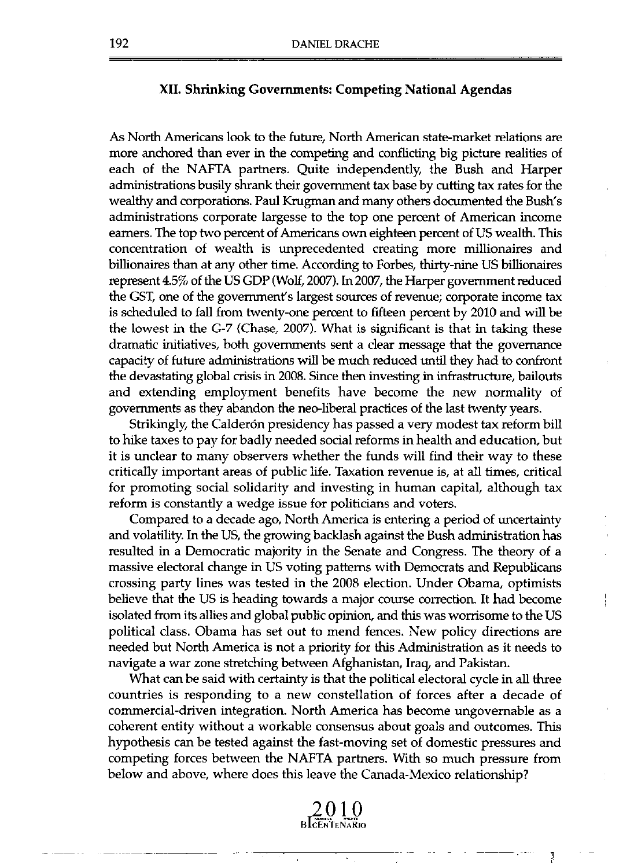### XII. Shrinking Govemments: Competing National Agendas

As North Americans look to the future, North American state-market relations are more anchored than ever in the competing and conflicting big picture realities of each of the NAFTA partners. Quite independently, the Bush and Harper administrations busily shrank their govemment tax base by cutting tax rates for the wealthy and corporations. Paul Krugman and many others documented the Bush's administrations corporate largesse to the top one percent of American income eamers. The top two percent of Americans own eighteen percent of US wealth. This concentration of wealth is unprecedented creating more millionaires and billionaires than at any other time. According to Forbes, thirty-nine US billionaires represent 4.5% of the US GDP (Wolf, 2007). In 2007, the Harper govemment reduced the GST, one of the government's largest sources of revenue; corporate income tax is scheduled to fall from twenty-one percent to fifteen percent by 2010 and will be the lowest in the G-7 (Chase, 2007). What is significant is that in taking these dramatic initiatives, both govemments sent a clear message that the govemance capacity of future administrations will be much reduced until they had to confront the devastating global crisis in 2008. Since then investing in infrastructure, bailouts and extending employment benefits have become the new normality of govemments as they abandon the neo-liberal practices of the last twenty years.

Strikingly, the Calderón presidency has passed a very modest tax reform bill to hike taxes to pay for badly needed social reforms in health and education, but it is unclear to many observers whether the funds will find their way to these critically important areas of public life. Taxation revenue is, at all times, critical for promoting social solidarity and investing in human capital, although tax reform is constantly a wedge issue for politicians and voters.

Compared to a decade ago, North America is entering a period of uncertainty and volatility. In the US, the growing backlash against the Bush administration has resulted in a Democratic majority in the Senate and Congress. The theory of a massive electoral change in US voting patterns with Democrats and Republicans crossing party lines was tested in the 2008 election. Under Obama, optimists believe that the US is heading towards a major course correction. It had become isolated from its allies and global public opinion, and this was worrisome to the US political c1ass. Obama has set out to mend fences. New policy directions are needed but North America is not a priority for this Administration as it needs to navigate a war zone stretching between Afghanistan, Iraq, and Pakistan.

What can be said with certainty is that the political electoral cycle in all three countries is responding to a new constellation of forces after a decade of commercial-driven integration. North America has become ungovemable as a coherent entity without a workable consensus about goals and outcomes. This hypothesis can be tested against the fast-moving set of domestic pressures and competing forces between the NAFTA partners. With so much pressure from below and aboye, where does this leave the Canada-Mexico relationship?

2010 **BICENTENARIO** 

 $\overline{\phantom{a}}$ 

)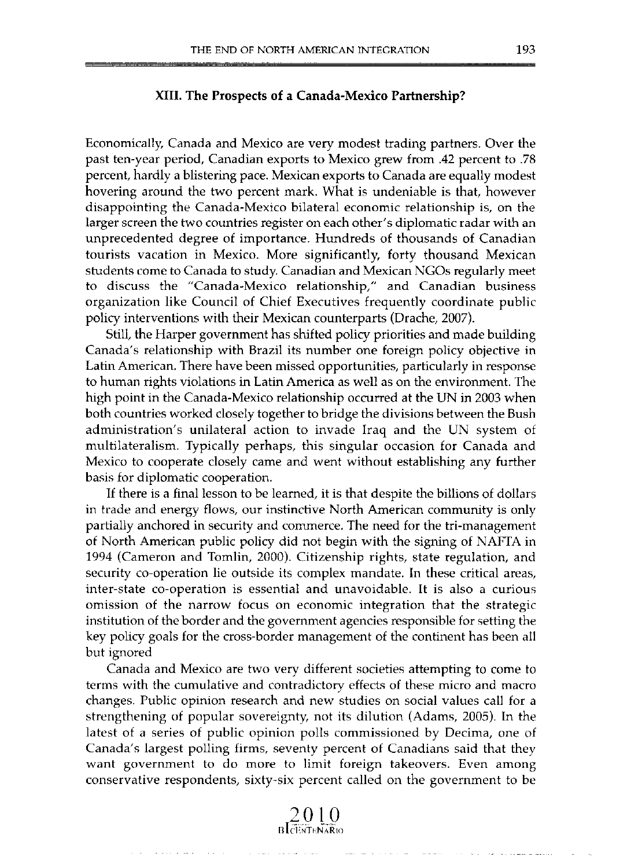### **XIII. The Prospects of a Canada-Mexico Partnership?**

Eeonomieal1y, Canada and Mexico are very modest trading partners. Over the past ten-year period, Canadian exports to Mexico grew from .42 pereent to .78 pereent, hardly a blistering pace. Mexiean exports to Canada are equally modest hovering around the two pereent mark. What is undeniable is that, however disappointing the Canada-Mexieo bilateral eeonomie relationship is, on the larger screen the two countries register on each other's diplomatic radar with an unpreeedented degree of importanee. Hundreds of thousands of Canadian tourists vaeation in Mexico. More significantly, forty thousand Mexican students come to Canada to study. Canadian and Mexican NGOs regularly meet to diseuss the "Canada-Mexico relationship," and Canadian business organization like Council of Chief Executives frequently coordinate public policy interventions with their Mexican counterparts (Drache, 2007).

5till, the Harper government has shifted poliey priorities and made building Canada's relationship with Brazil its number one foreign policy objective in Latin American. There have been missed opportunities, particularly in response to human rights violations in Latin America as well as on the environment. The high point in the Canada-Mexico relationship occurred at the UN in 2003 when both countries worked closely together to bridge the divisions between the Bush administration's unilateral action to invade Iraq and the UN system of multilateralism. Typically perhaps, this singular occasion for Canada and Mexico to cooperate closely came and went without establishing any further basis for diplomatie eooperation.

If there is a final lesson to be learned, it is that despite the billions of dollars in trade and energy flows, our instinctive North American community is only partially anehored in seeurity and eommerce. The need for the tri-management of North American publie poliey did not begin with the signing of NAFTA in 1994 (Cameron and Tomlin, 2000). Citizenship rights, state regulation, and security co-operation lie outside its complex mandate. In these critical areas, inter-state co-operation is essential and unavoidable. It is also a curious omission of the narrow foeus on eeonomic integration that the strategie institution of the border and the government agencies responsible for setting the key policy goals for the eross-border management of the continent has been all but ignored

Canada and Mexico are two very different societies attempting to come to terms with the cumulative and contradietory effects of these micro and macro ehanges. Publie opinion researeh and new studies on social values eall for a strengthening of popular sovereignty, not its dilution (Adams, 2005). In the latest of a series of public opinion polls commissioned by Decima, one of Canada's largest polling firms, seventy pereent of Canadians said that they want government to do more to limit foreign takeovers. Even among eonservative respondents, sixty-six pereent ealled on the government to be

**2010**<br>B 1 centenario

state and a state of the state of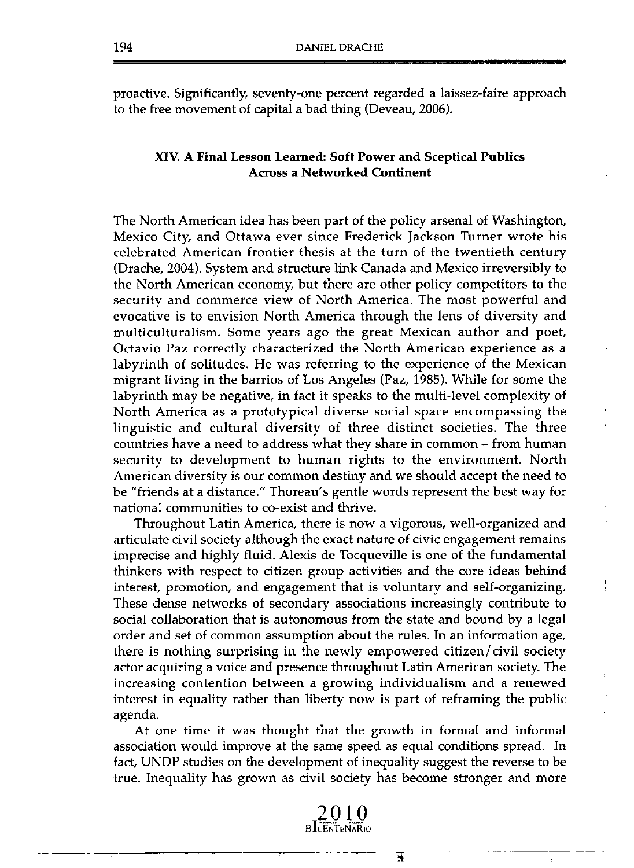proactive. Significantly, seventy-one percent regarded a laissez-faire approach to the free movement of capital abad thing (Deveau, 2006).

# XIV. A Final Lesson Leamed: Soft Power and Sceptical Publics Across a Networked Continent

The North American idea has been part of the policy arsenal of Washington, Mexico City, and Ottawa ever since Frederick Jackson Turner wrote his celebrated American frontier thesis at the turn of the twentieth century (Drache, 2004). System and structure link Canada and Mexico irreversibly to the North American economy, but there are other policy competitors to the security and commerce view of North America. The most powerful and evocative is to envision North America through the lens of diversity and multiculturalism. Some years ago the great Mexican author and poet, Octavio Paz correctly characterized the North American experience as a labyrinth of solitudes. He was referring to the experience of the Mexican migrant living in the barrios of Los Angeles (Paz, 1985). While for some the labyrinth may be negative, in fact it speaks to the multi-Ievel complexity of North America as a prototypical diverse social space encompassing the linguistic and cultural diversity of three distinct societies. The three countries have a need to address what they share in common - from human security to development to human rights to the environment. North American diversity is our common destiny and we should accept the need to be "friends at a distance." Thoreau's gentle words represent the best way for national communities to co-exist and thrive.

Throughout Latin America, there is now a vigorous, well-organized and articulate civil society although the exact nature of civic engagement remains imprecise and highly fluid. Alexis de Tocqueville is one of the fundamental thinkers with respect to citizen group activities and the core ideas behind interest, promotion, and engagement that is voluntary and self-organizing. These dense networks of secondary associations increasingly contribute to social collaboration that is autonomous from the state and bound by a legal order and set of common assumption about the rules. In an information age, there is nothing surprising in the newly empowered citizen/ civil society actor acquiring a voice and presence throughout Latin American society. The increasing contention between a growing individualism and a renewed interest in equality rather than liberty now is part of reframing the public agenda.

At one time it was thought that the growth in formal and informal association would improve at the same speed as equal conditions spread. In fact, UNDP studies on the development of inequality suggest the reverse to be true. Inequality has grown as civil society has become stronger and more

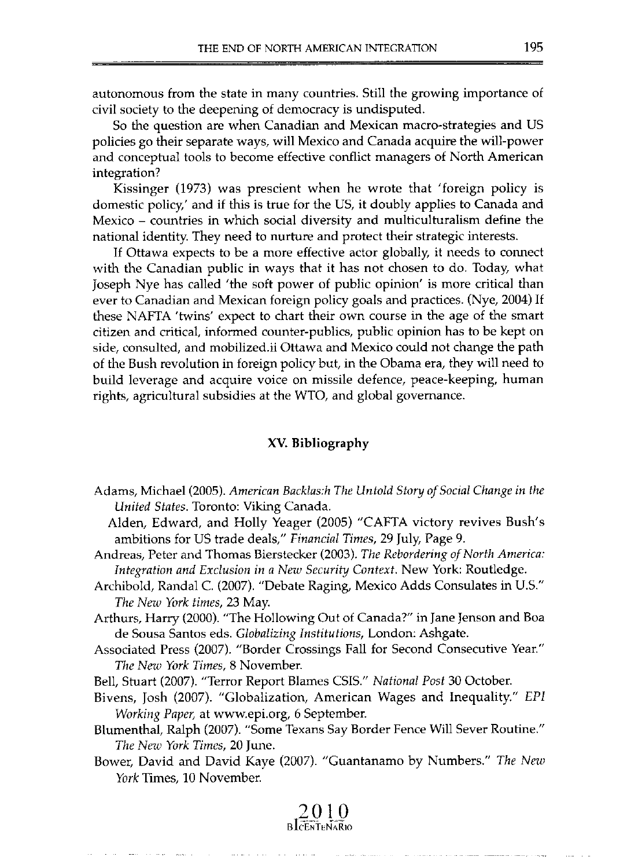autonomous from the state in many countries. Still the growing importance of civil society to the deepening of democracy is undisputed.

So the question are when Canadian and Mexican macro-strategies and US policies go their separate ways, will Mexico and Canada acquire the will-power and conceptual tools to become effective conflict managers of North American integration?

Kissinger (1973) was prescient when he wrote that 'foreign policy is domestic policy,' and if this is true for the US, it doubly applies to Canada and Mexico - countries in which social diversity and multiculturalism define the national identity. They need to nurture and protect their strategic interests.

lf Ottawa expects to be a more effective actor globally, it needs to connect with the Canadian public in ways that it has not chosen to do. Today, what Joseph Nye has called 'the soft power of public opinion' is more critical than ever to Canadian and Mexican foreign policy goals and practices. (Nye, 2004) lf these NAFTA 'twins' expect to chart their own course in the age of the smart citizen and critical, informed counter-publics, public opinion has to be kept on side, consulted, and mobilized.ii Ottawa and Mexico could not change the path of the Bush revolution in foreign policy but, in the Obama era, they will need to build leverage and acquire voice on missile defence, peace-keeping, human rights, agricultural subsidies at the WTO, and global govemance.

### XV. Bibliography

- Adams, Michael (2005). *American Backlas:h The Untold Story of Social Change in the United States.* Toronto: Viking Canada.
	- Alden, Edward, and Holly Yeager (2005) "CAFTA victory revives Bush's ambitions for US trade deals," *Financial Times,* 29 July, Page 9.
- Andreas, Peter and Thomas Bierstecker (2003). *The Rebordering of North America: Integration and Exc/usion* in *a New Security Contexl.* New York: Routledge.
- Archibold, Randal C. (2007). "Debate Raging, Mexico Adds Consulates in U.5." *The New York times,* 23 May.
- Arthurs, Harry (2000). "The Hollowing Out of Canada?" in Jane Jenson and Boa de Sousa Santos eds. *Globalizing Institutions,* London: Ashgate.
- Associated Press (2007). "Border Crossings Fall for Second Consecutive Year." *The New York Times,* 8 November.

Bell, Stuart (2007). "Terror Report Blames CSIS." *National Post* 30 October.

Bivens, Josh (2007). "Globalization, American Wages and Inequality." *EPI Working Paper, at www.epi.org, 6 September.* 

Blumenthal, Ralph (2007). "Sorne Texans Say Border Fence Will Sever Routine." *The New York Times,* 20 June.

Bower, David and David Kaye (2007). "Guantanamo by Numbers." *The New York* Times, 10 November.

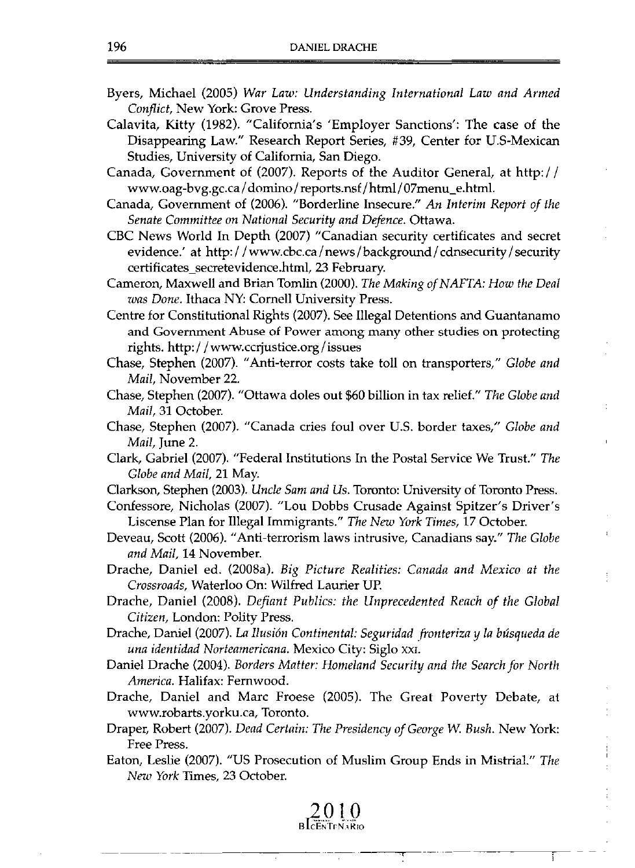- Byers, Michael (2005) *War Law: Understanding International Law and Armed Confliet,* New York: Grove Press.
- Calavita, Kitty (1982). "California's 'Employer Sanctions': The case of the Disappearing Law." Research Report Series, #39, Center for U.S-Mexican Studies, University of California, San Diego.
- Canada, Government of (2007). Reports of the Auditor General, at http:/ / www.oag-bvg.gc.ca/domino/reports.nsf/html/07menu\_e.html.
- Canada, Government of (2006). "Borderline Insecure." *An Interim Report of the Senate Commiltee on National Seeurity and Defenee.* Ottawa.
- CBC News World **In** Depth (2007) "Canadian security eertificates and secret evidence.' at http://www.cbc.ca/news /background / cdnsecurity / security certificates\_secretevidence.html, 23 February.
- Cameron, Maxwe11 and Brian Tomlin (2000). *The Making ofNAFTA: How the Deal was Done.* Ithaca NY: Corne11 University Press.
- Centre for Constitutional Rights (2007). See Illegal Detentions and Guantanamo **and Government Abuse of Power among many other studies on protecting**  rights. http://www.ccrjustice.org / issues
- Chase, Stephen (2007). "Anti-terror costs take to11 on transporters," *Globe and Mail,* November 22.
- Chase, Stephen (2007). "Ottawa doles out \$60 billion in tax relief." *The Globe and Mail,* 31 October.
- Chase, Stephen (2007). "Canada cries foul over U.S. border taxes," *Globe and Mail,* June 2.
- Clark, Gabriel (2007). "Federal Institutions **In** the Postal Service We Trust." *The Globe and Mail,* 21 May.
- Clarkson, Stephen (2003). *Uncle Sam and Us*. Toronto: University of Toronto Press.
- Confessore, Nicholas (2007). "Lou Dobbs Crusade Against Spitzer's Driver's Liscense Plan for Illegal Immigrants." *The New York Times,* 17 October.
- Deveau, Scott (2006). "Anti-terrorism laws intrusive, Canadians say." *The Globe and Mail,* 14 November.
- Drache, Daniel ed. (2008a). *Big Pieture Realities: Canada and Mexieo at the Crossroads,* Waterloo On: Wilfred Laurier UP.
- Drache, Daniel (2008). *Defiant Publics: the Unpreeedented Reach of the Global Citizen,* London: Polity Press.
- Drache, Daniel (2007). *La Ilusión Continental: Seguridad fronteriza y la búsqueda de una identidad Norteamericana.* Mexico City: Siglo XXI.
- Daniel Drache (2004). *Borders Malter: Homeland Seeurity and the Search for North Ameriea.* Halifax: Fernwood.
- Drache, Daniel and Marc Froese (2005). The Great Poverty Debate, at www.robarts.yorku.ca. Toronto.
- Draper, Robert (2007). *Dead Certain: The Presideney of George W Bush.* New York: Free Press.
- Eaton, Leslie (2007). "US Prosecution of Muslim Group Ends in Mistrial." The *New York* Times, 23 October.

**2010**  BLCENTEN.4R10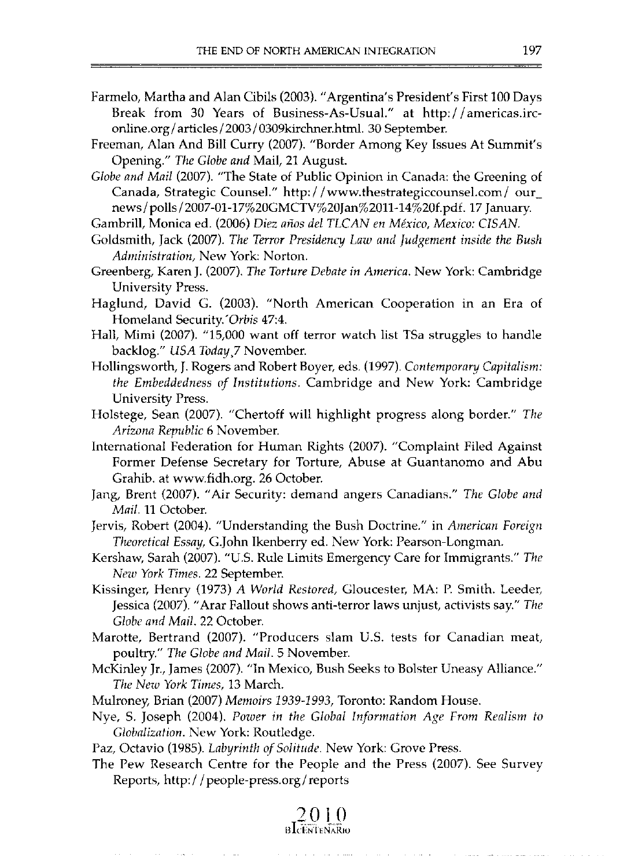- Farmelo, Martha and Alan Cibils (2003). "Argentina's President's First 100 Days Break from 30 Years of Business-As-Usual." at http:/ / americas.irconline.org / articles / 2003 / 0309kirchner.html. 30 September.
- Freeman, AJan And Bill Curry (2007). "Border Among Key Issues At Summit's Opening." *The G/obe and* Mail, 21 August.
- *G/abe and Mail* (2007). "The State of Public Opinion in Canada: the Greening of Canada, Strategic Counsel." http://www.thestrategiccounsel.com/our\_ news/ polls/2007-0l-17%20GMCTV%20Jan%2011-14%20f.pdf. 17 January.

Gambrill, Monica ed. (2006) *Diez años del TLCAN en México, Mexico: CISAN.* 

- GoJdsmith, Jack (2007). *The Terror Presidency Law and Judgement inside the Bush Administration,* New York: Norton.
- Greenberg, Karen J. (2007). *The Torture Debate in America.* New York: Cambridge University Press.
- Haglund, David G. (2003). "North American Cooperation in an Era of Homeland Security.'Orbis 47:4.
- Hall, Mimi (2007). "15,000 want off terror watch list TSa struggles to handle back1og." *USA Today,7* November.
- Hollingsworth, 1. Rogers and Robert Boyer, eds. (1997). *Contemporary Capitalism: the Embeddedness of Institutions.* Cambridge and New York: Cambridge University Press.
- Holstege, Sean (2007). "Chertoff will highlight progress along border." *The Ayizona Republic* 6 November.
- Intemational Federation for Human Rights (2007). "Complaint Filed Against Former Defense Secretary for Torture, Abuse at Guantanomo and Abu Grahib. at www.fidh.org. 26 October.
- Jang, Brent (2007). "Air Security: demand angers Canadians." *The Globe and Mail.* 11 October.
- Jervis, Robert (2004). "Understanding the Bush Doctrine." in *American Foreign Theoretica/ Essay,* G.John Ikenberry ed. New York: Pearson-Longman.
- Kershaw, Sarah (2007). "US. Rule Limits Emergency Care for Immigrants." *The New York Times.* 22 September.
- Kissinger, Henry (1973) *A World Restored,* Gloucester, MA: P. Smith. Leeder. Jessica (2007). "Arar Fallout shows anti-terror laws unjust, activists say." The *G/abe and Mai/.* 22 October.
- Marotte, Bertrand (2007). "Producers slam U.S. tests for Canadian meat, poultry." *The Globe and Mail.* 5 November.
- McKinley Jr., James (2007). "In Mexico, Bush Seeks to Bolster Uneasy Alliance." *The New York Times,* 13 March.
- MuJroney, Brian (2007) *Memoirs* 1939-1993, Toronto: Random House.
- Nye, S. Joseph (2004). *Power in Ihe Global Information Age From Realism* lo *Gloflalizalion.* New York: Routledge.

Paz, Octavio (1985). *Labyrinth of Solitude.* New York: Grove Press.

The Pew Research Centre for the People and the Press (2007). See Survey Reports, http://people-press.org / reports

> **20]0 HIl:IN':¡ ENARIU**

> > a malaysia na mara

a construction and control